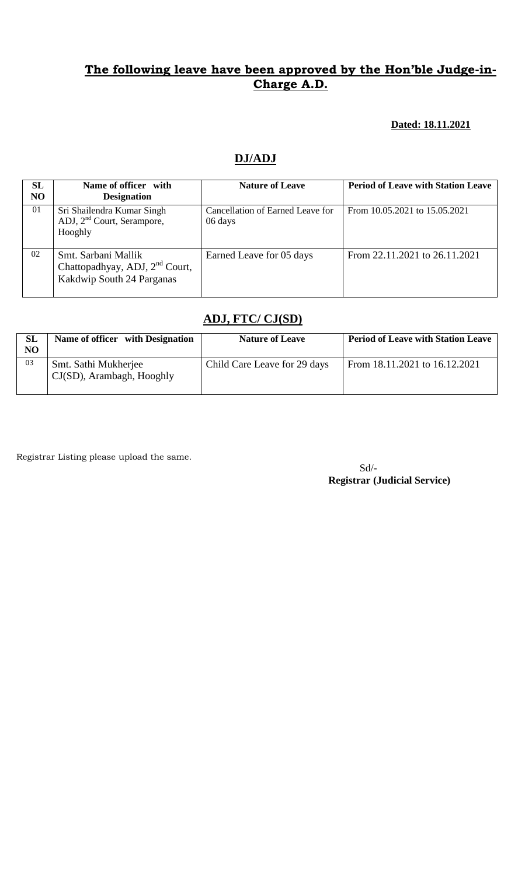#### **Dated: 18.11.2021**

### **DJ/ADJ**

| SL<br>N <sub>O</sub> | Name of officer with<br><b>Designation</b>                                                     | <b>Nature of Leave</b>                      | <b>Period of Leave with Station Leave</b> |
|----------------------|------------------------------------------------------------------------------------------------|---------------------------------------------|-------------------------------------------|
| 01                   | Sri Shailendra Kumar Singh<br>ADJ, 2 <sup>nd</sup> Court, Serampore,<br>Hooghly                | Cancellation of Earned Leave for<br>06 days | From 10.05.2021 to 15.05.2021             |
| 02                   | Smt. Sarbani Mallik<br>Chattopadhyay, ADJ, 2 <sup>nd</sup> Court,<br>Kakdwip South 24 Parganas | Earned Leave for 05 days                    | From 22.11.2021 to 26.11.2021             |

## **ADJ, FTC/ CJ(SD)**

| SL<br>NO <sub>1</sub> | Name of officer with Designation                     | <b>Nature of Leave</b>       | <b>Period of Leave with Station Leave</b> |
|-----------------------|------------------------------------------------------|------------------------------|-------------------------------------------|
| 03                    | Smt. Sathi Mukherjee<br>$CJ(SD)$ , Arambagh, Hooghly | Child Care Leave for 29 days | From 18.11.2021 to 16.12.2021             |

Registrar Listing please upload the same.

Sd/-  **Registrar (Judicial Service)**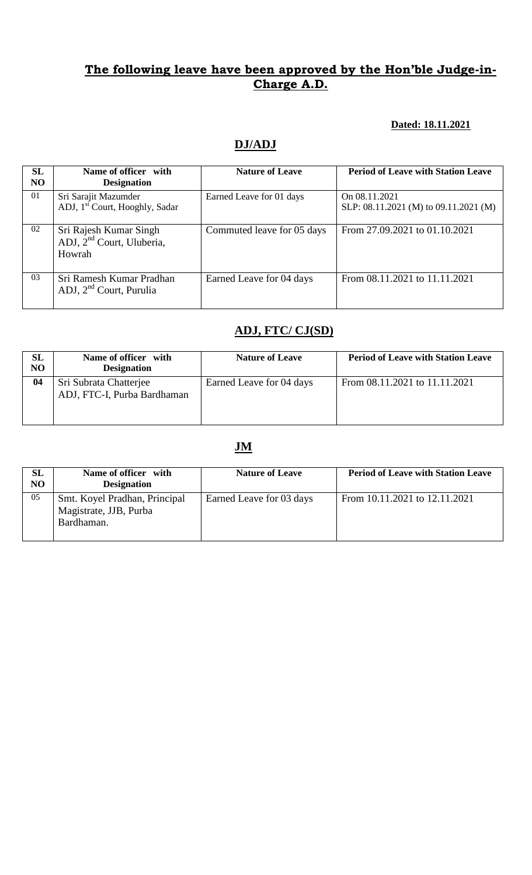#### **Dated: 18.11.2021**

# **DJ/ADJ**

| <b>SL</b><br>N <sub>O</sub> | Name of officer with<br><b>Designation</b>                                | <b>Nature of Leave</b>     | <b>Period of Leave with Station Leave</b>              |
|-----------------------------|---------------------------------------------------------------------------|----------------------------|--------------------------------------------------------|
| 01                          | Sri Sarajit Mazumder<br>ADJ, 1 <sup>st</sup> Court, Hooghly, Sadar        | Earned Leave for 01 days   | On 08.11.2021<br>SLP: 08.11.2021 (M) to 09.11.2021 (M) |
| 02                          | Sri Rajesh Kumar Singh<br>ADJ, 2 <sup>nd</sup> Court, Uluberia,<br>Howrah | Commuted leave for 05 days | From 27.09.2021 to 01.10.2021                          |
| 03                          | Sri Ramesh Kumar Pradhan<br>ADJ, $2nd$ Court, Purulia                     | Earned Leave for 04 days   | From 08.11.2021 to 11.11.2021                          |

## **ADJ, FTC/ CJ(SD)**

| SL<br>NO | Name of officer with<br><b>Designation</b>            | <b>Nature of Leave</b>   | <b>Period of Leave with Station Leave</b> |
|----------|-------------------------------------------------------|--------------------------|-------------------------------------------|
| 04       | Sri Subrata Chatterjee<br>ADJ, FTC-I, Purba Bardhaman | Earned Leave for 04 days | From 08.11.2021 to 11.11.2021             |

| <b>SL</b><br>NO | Name of officer with<br><b>Designation</b>                            | <b>Nature of Leave</b>   | <b>Period of Leave with Station Leave</b> |
|-----------------|-----------------------------------------------------------------------|--------------------------|-------------------------------------------|
| 05              | Smt. Koyel Pradhan, Principal<br>Magistrate, JJB, Purba<br>Bardhaman. | Earned Leave for 03 days | From 10.11.2021 to 12.11.2021             |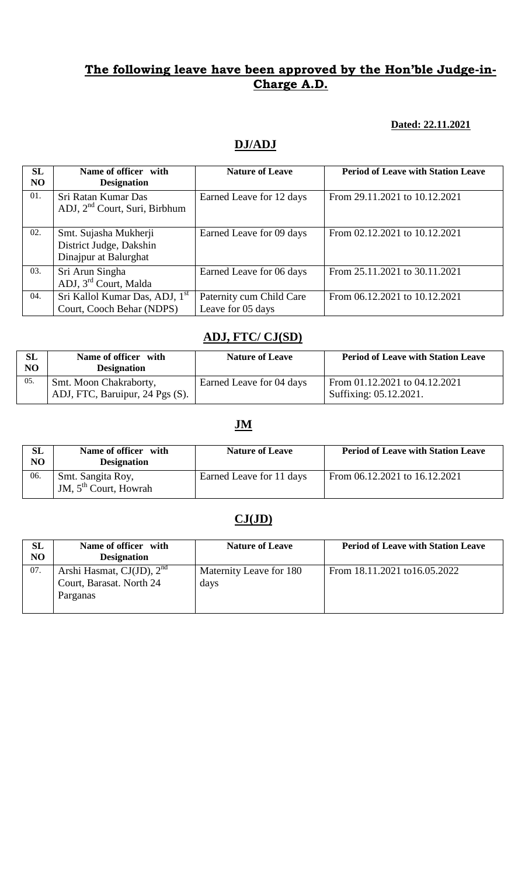#### **Dated: 22.11.2021**

# **DJ/ADJ**

| SL<br>N <sub>O</sub> | Name of officer with<br><b>Designation</b>                                | <b>Nature of Leave</b>                        | <b>Period of Leave with Station Leave</b> |
|----------------------|---------------------------------------------------------------------------|-----------------------------------------------|-------------------------------------------|
| 01.                  | Sri Ratan Kumar Das<br>ADJ, 2 <sup>nd</sup> Court, Suri, Birbhum          | Earned Leave for 12 days                      | From 29.11.2021 to 10.12.2021             |
| 02.                  | Smt. Sujasha Mukherji<br>District Judge, Dakshin<br>Dinajpur at Balurghat | Earned Leave for 09 days                      | From 02.12.2021 to 10.12.2021             |
| 03.                  | Sri Arun Singha<br>ADJ, 3 <sup>rd</sup> Court, Malda                      | Earned Leave for 06 days                      | From 25.11.2021 to 30.11.2021             |
| 04.                  | Sri Kallol Kumar Das, ADJ, 1 <sup>st</sup><br>Court, Cooch Behar (NDPS)   | Paternity cum Child Care<br>Leave for 05 days | From 06.12.2021 to 10.12.2021             |

#### **ADJ, FTC/ CJ(SD)**

| SL<br>NO | Name of officer with<br><b>Designation</b>                | <b>Nature of Leave</b>   | <b>Period of Leave with Station Leave</b>               |
|----------|-----------------------------------------------------------|--------------------------|---------------------------------------------------------|
| 05.      | Smt. Moon Chakraborty,<br>ADJ, FTC, Baruipur, 24 Pgs (S). | Earned Leave for 04 days | From 01.12.2021 to 04.12.2021<br>Suffixing: 05.12.2021. |

## **JM**

| SL<br>NO | Name of officer with<br><b>Designation</b>   | <b>Nature of Leave</b>   | <b>Period of Leave with Station Leave</b> |
|----------|----------------------------------------------|--------------------------|-------------------------------------------|
| 06.      | Smt. Sangita Roy,<br>JM, $5th$ Court, Howrah | Earned Leave for 11 days | From 06.12.2021 to 16.12.2021             |

# **CJ(JD)**

| <b>SL</b><br>NO | Name of officer with<br><b>Designation</b>                             | <b>Nature of Leave</b>          | <b>Period of Leave with Station Leave</b> |
|-----------------|------------------------------------------------------------------------|---------------------------------|-------------------------------------------|
| 07.             | Arshi Hasmat, $CJ(JD)$ , $2nd$<br>Court, Barasat. North 24<br>Parganas | Maternity Leave for 180<br>days | From 18.11.2021 to 16.05.2022             |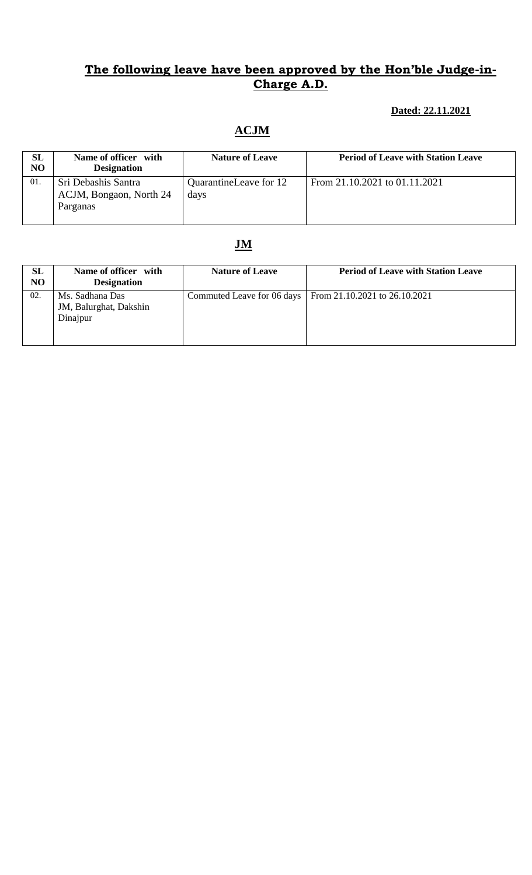## **Dated: 22.11.2021**

# **ACJM**

| SL<br>NO | Name of officer with<br><b>Designation</b>                 | <b>Nature of Leave</b>         | <b>Period of Leave with Station Leave</b> |
|----------|------------------------------------------------------------|--------------------------------|-------------------------------------------|
| 01.      | Sri Debashis Santra<br>ACJM, Bongaon, North 24<br>Parganas | QuarantineLeave for 12<br>days | From 21.10.2021 to 01.11.2021             |

| <b>SL</b><br>N <sub>O</sub> | Name of officer with<br><b>Designation</b>            | <b>Nature of Leave</b> | <b>Period of Leave with Station Leave</b>                  |
|-----------------------------|-------------------------------------------------------|------------------------|------------------------------------------------------------|
| 02.                         | Ms. Sadhana Das<br>JM, Balurghat, Dakshin<br>Dinajpur |                        | Commuted Leave for 06 days   From 21.10.2021 to 26.10.2021 |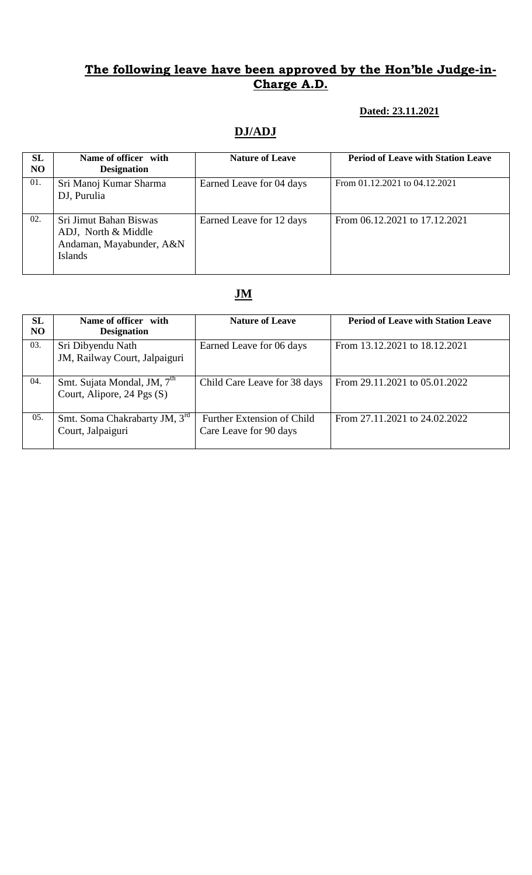#### **Dated: 23.11.2021**

# **DJ/ADJ**

| SL<br>N <sub>O</sub> | Name of officer with<br><b>Designation</b>                                                  | <b>Nature of Leave</b>   | <b>Period of Leave with Station Leave</b> |
|----------------------|---------------------------------------------------------------------------------------------|--------------------------|-------------------------------------------|
| 01.                  | Sri Manoj Kumar Sharma<br>DJ, Purulia                                                       | Earned Leave for 04 days | From 01.12.2021 to 04.12.2021             |
| 02.                  | Sri Jimut Bahan Biswas<br>ADJ, North & Middle<br>Andaman, Mayabunder, A&N<br><b>Islands</b> | Earned Leave for 12 days | From 06.12.2021 to 17.12.2021             |

| SL             | Name of officer with                    | <b>Nature of Leave</b>       | <b>Period of Leave with Station Leave</b> |
|----------------|-----------------------------------------|------------------------------|-------------------------------------------|
| N <sub>O</sub> | <b>Designation</b>                      |                              |                                           |
| 03.            | Sri Dibyendu Nath                       | Earned Leave for 06 days     | From 13.12.2021 to 18.12.2021             |
|                | JM, Railway Court, Jalpaiguri           |                              |                                           |
|                |                                         |                              |                                           |
| 04.            | Smt. Sujata Mondal, JM, 7 <sup>th</sup> | Child Care Leave for 38 days | From 29.11.2021 to 05.01.2022             |
|                | Court, Alipore, 24 Pgs (S)              |                              |                                           |
|                |                                         |                              |                                           |
| 05.            | Smt. Soma Chakrabarty JM, 3rd           | Further Extension of Child   | From 27.11.2021 to 24.02.2022             |
|                | Court, Jalpaiguri                       | Care Leave for 90 days       |                                           |
|                |                                         |                              |                                           |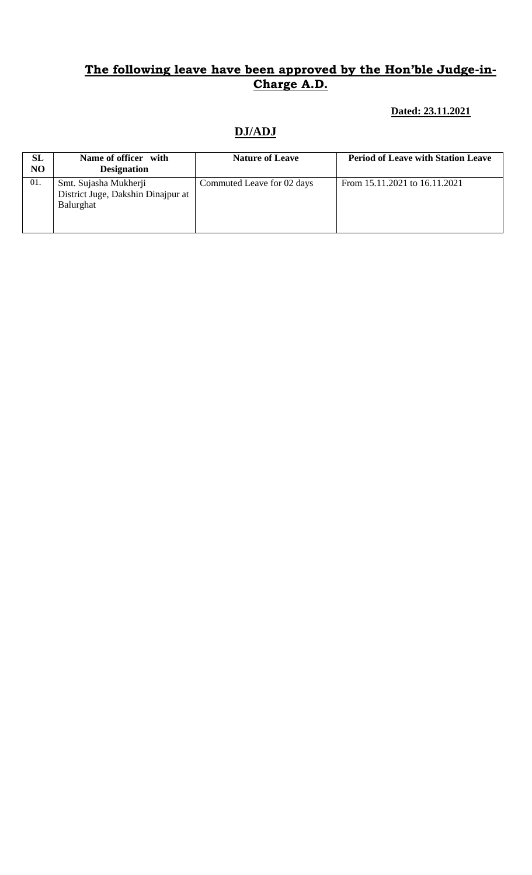#### **Dated: 23.11.2021**

## **DJ/ADJ**

| SL<br>NO | Name of officer with<br><b>Designation</b>                               | <b>Nature of Leave</b>     | <b>Period of Leave with Station Leave</b> |
|----------|--------------------------------------------------------------------------|----------------------------|-------------------------------------------|
| 01.      | Smt. Sujasha Mukherji<br>District Juge, Dakshin Dinajpur at<br>Balurghat | Commuted Leave for 02 days | From 15.11.2021 to 16.11.2021             |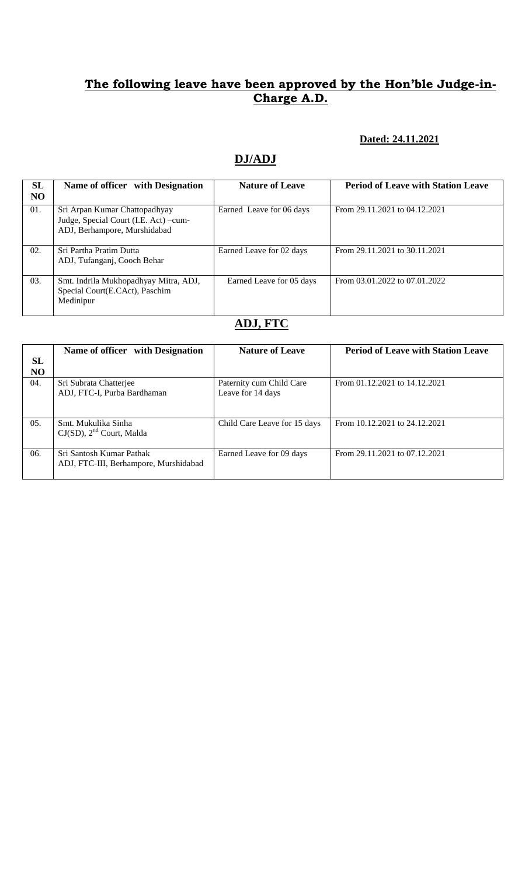#### **Dated: 24.11.2021**

### **DJ/ADJ**

| SL<br><b>NO</b> | Name of officer with Designation                                                                       | <b>Nature of Leave</b>   | <b>Period of Leave with Station Leave</b> |
|-----------------|--------------------------------------------------------------------------------------------------------|--------------------------|-------------------------------------------|
| 01.             | Sri Arpan Kumar Chattopadhyay<br>Judge, Special Court (I.E. Act) -cum-<br>ADJ, Berhampore, Murshidabad | Earned Leave for 06 days | From 29.11.2021 to 04.12.2021             |
| 02.             | Sri Partha Pratim Dutta<br>ADJ, Tufanganj, Cooch Behar                                                 | Earned Leave for 02 days | From 29.11.2021 to 30.11.2021             |
| 03.             | Smt. Indrila Mukhopadhyay Mitra, ADJ,<br>Special Court(E.CAct), Paschim<br>Medinipur                   | Earned Leave for 05 days | From 03.01.2022 to 07.01.2022             |

# **ADJ, FTC**

|                      | Name of officer with Designation                                  | <b>Nature of Leave</b>                        | <b>Period of Leave with Station Leave</b> |
|----------------------|-------------------------------------------------------------------|-----------------------------------------------|-------------------------------------------|
| SL<br>N <sub>O</sub> |                                                                   |                                               |                                           |
| 04.                  | Sri Subrata Chatterjee<br>ADJ, FTC-I, Purba Bardhaman             | Paternity cum Child Care<br>Leave for 14 days | From 01.12.2021 to 14.12.2021             |
| 05.                  | Smt. Mukulika Sinha<br>$CJ(SD)$ , $2nd$ Court, Malda              | Child Care Leave for 15 days                  | From 10.12.2021 to 24.12.2021             |
| 06.                  | Sri Santosh Kumar Pathak<br>ADJ, FTC-III, Berhampore, Murshidabad | Earned Leave for 09 days                      | From 29.11.2021 to 07.12.2021             |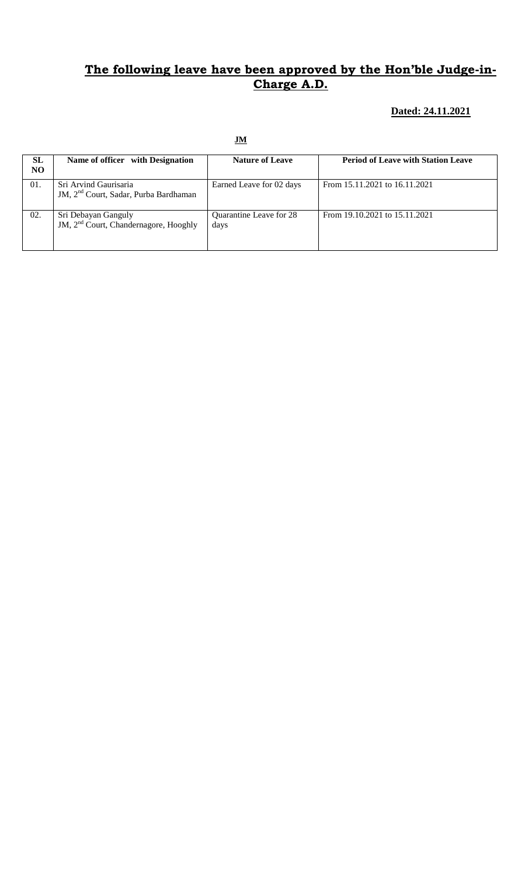#### **Dated: 24.11.2021**

| SL<br>NO. | Name of officer with Designation                                           | <b>Nature of Leave</b>          | <b>Period of Leave with Station Leave</b> |
|-----------|----------------------------------------------------------------------------|---------------------------------|-------------------------------------------|
| 01.       | Sri Arvind Gaurisaria<br>JM, 2 <sup>nd</sup> Court, Sadar, Purba Bardhaman | Earned Leave for 02 days        | From 15.11.2021 to 16.11.2021             |
| 02.       | Sri Debayan Ganguly<br>JM, 2 <sup>nd</sup> Court, Chandernagore, Hooghly   | Quarantine Leave for 28<br>days | From 19.10.2021 to 15.11.2021             |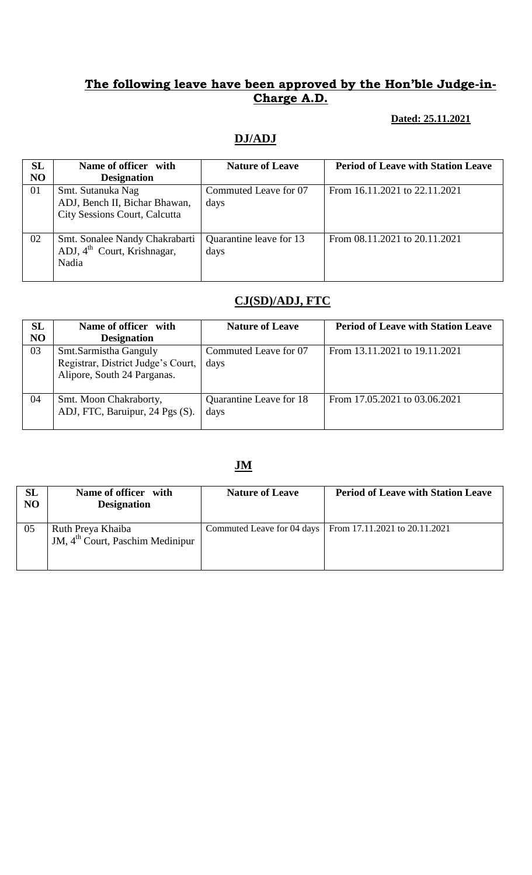#### **Dated: 25.11.2021**

# **DJ/ADJ**

| <b>SL</b><br>N <sub>O</sub> | Name of officer with<br><b>Designation</b>                                                 | <b>Nature of Leave</b>          | <b>Period of Leave with Station Leave</b> |
|-----------------------------|--------------------------------------------------------------------------------------------|---------------------------------|-------------------------------------------|
| 01                          | Smt. Sutanuka Nag<br>ADJ, Bench II, Bichar Bhawan,<br><b>City Sessions Court, Calcutta</b> | Commuted Leave for 07<br>days   | From 16.11.2021 to 22.11.2021             |
| 02                          | Smt. Sonalee Nandy Chakrabarti<br>ADJ, $4^{\text{th}}$ Court, Krishnagar,<br>Nadia         | Quarantine leave for 13<br>days | From 08.11.2021 to 20.11.2021             |

# **CJ(SD)/ADJ, FTC**

| SL<br>N <sub>O</sub> | Name of officer with<br><b>Designation</b>                                                 | <b>Nature of Leave</b>          | <b>Period of Leave with Station Leave</b> |
|----------------------|--------------------------------------------------------------------------------------------|---------------------------------|-------------------------------------------|
| 03                   | Smt.Sarmistha Ganguly<br>Registrar, District Judge's Court,<br>Alipore, South 24 Parganas. | Commuted Leave for 07<br>days   | From 13.11.2021 to 19.11.2021             |
| 04                   | Smt. Moon Chakraborty,<br>ADJ, FTC, Baruipur, 24 Pgs (S).                                  | Quarantine Leave for 18<br>days | From 17.05.2021 to 03.06.2021             |

| SL<br>NO | Name of officer with<br><b>Designation</b>              | <b>Nature of Leave</b> | <b>Period of Leave with Station Leave</b>                  |
|----------|---------------------------------------------------------|------------------------|------------------------------------------------------------|
| 05       | Ruth Preya Khaiba<br>JM, $4th$ Court, Paschim Medinipur |                        | Commuted Leave for 04 days   From 17.11.2021 to 20.11.2021 |